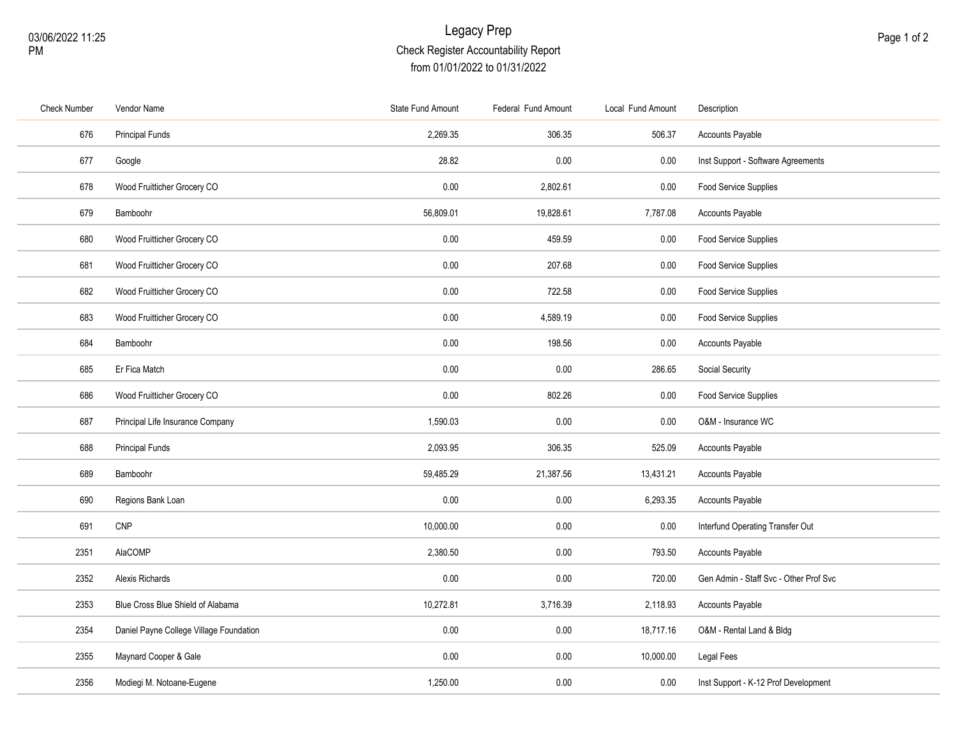## Legacy Prep Check Register Accountability Report from 01/01/2022 to 01/31/2022

| <b>Check Number</b> | Vendor Name                             | <b>State Fund Amount</b> | Federal Fund Amount | Local Fund Amount | Description                            |
|---------------------|-----------------------------------------|--------------------------|---------------------|-------------------|----------------------------------------|
| 676                 | <b>Principal Funds</b>                  | 2,269.35                 | 306.35              | 506.37            | Accounts Payable                       |
| 677                 | Google                                  | 28.82                    | 0.00                | 0.00              | Inst Support - Software Agreements     |
| 678                 | Wood Fruitticher Grocery CO             | 0.00                     | 2,802.61            | 0.00              | Food Service Supplies                  |
| 679                 | Bamboohr                                | 56,809.01                | 19,828.61           | 7,787.08          | Accounts Payable                       |
| 680                 | Wood Fruitticher Grocery CO             | 0.00                     | 459.59              | 0.00              | Food Service Supplies                  |
| 681                 | Wood Fruitticher Grocery CO             | 0.00                     | 207.68              | 0.00              | Food Service Supplies                  |
| 682                 | Wood Fruitticher Grocery CO             | 0.00                     | 722.58              | 0.00              | Food Service Supplies                  |
| 683                 | Wood Fruitticher Grocery CO             | 0.00                     | 4,589.19            | 0.00              | Food Service Supplies                  |
| 684                 | Bamboohr                                | 0.00                     | 198.56              | 0.00              | Accounts Payable                       |
| 685                 | Er Fica Match                           | 0.00                     | 0.00                | 286.65            | Social Security                        |
| 686                 | Wood Fruitticher Grocery CO             | 0.00                     | 802.26              | 0.00              | Food Service Supplies                  |
| 687                 | Principal Life Insurance Company        | 1,590.03                 | 0.00                | 0.00              | O&M - Insurance WC                     |
| 688                 | <b>Principal Funds</b>                  | 2,093.95                 | 306.35              | 525.09            | <b>Accounts Payable</b>                |
| 689                 | Bamboohr                                | 59,485.29                | 21,387.56           | 13,431.21         | Accounts Payable                       |
| 690                 | Regions Bank Loan                       | 0.00                     | 0.00                | 6,293.35          | Accounts Payable                       |
| 691                 | CNP                                     | 10,000.00                | 0.00                | 0.00              | Interfund Operating Transfer Out       |
| 2351                | AlaCOMP                                 | 2,380.50                 | 0.00                | 793.50            | Accounts Payable                       |
| 2352                | Alexis Richards                         | 0.00                     | 0.00                | 720.00            | Gen Admin - Staff Svc - Other Prof Svc |
| 2353                | Blue Cross Blue Shield of Alabama       | 10,272.81                | 3,716.39            | 2,118.93          | Accounts Payable                       |
| 2354                | Daniel Payne College Village Foundation | 0.00                     | 0.00                | 18,717.16         | O&M - Rental Land & Bldg               |
| 2355                | Maynard Cooper & Gale                   | 0.00                     | 0.00                | 10,000.00         | Legal Fees                             |
| 2356                | Modiegi M. Notoane-Eugene               | 1,250.00                 | 0.00                | 0.00              | Inst Support - K-12 Prof Development   |
|                     |                                         |                          |                     |                   |                                        |